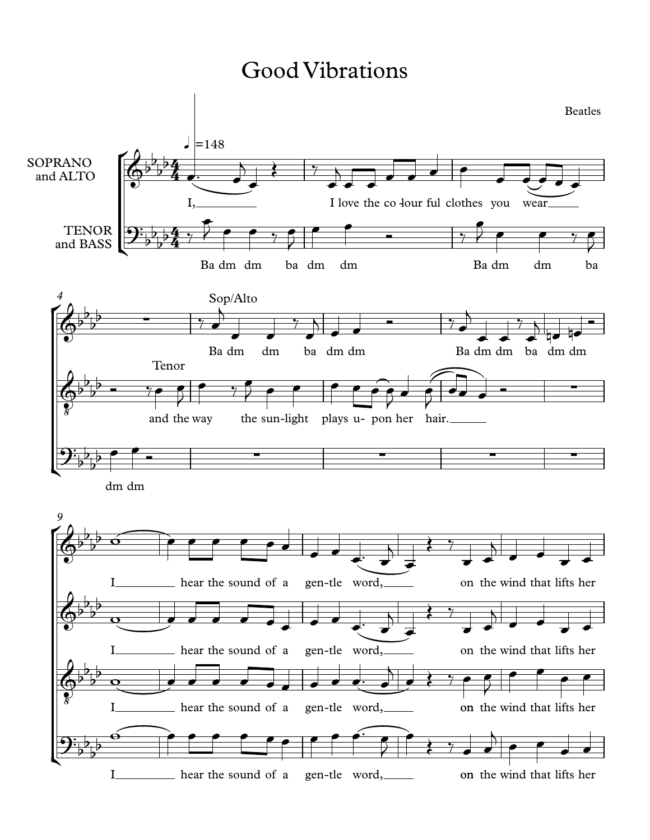## Good Vibrations

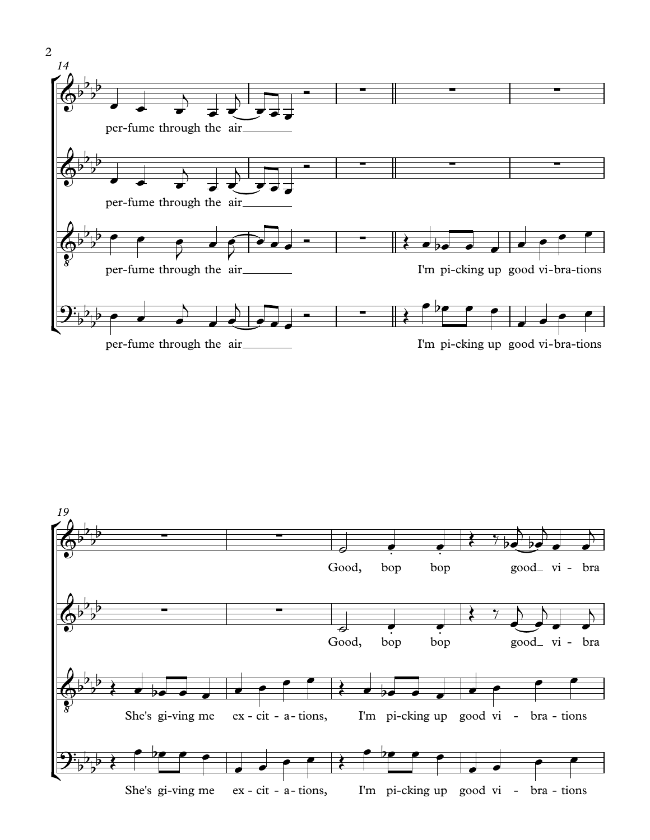

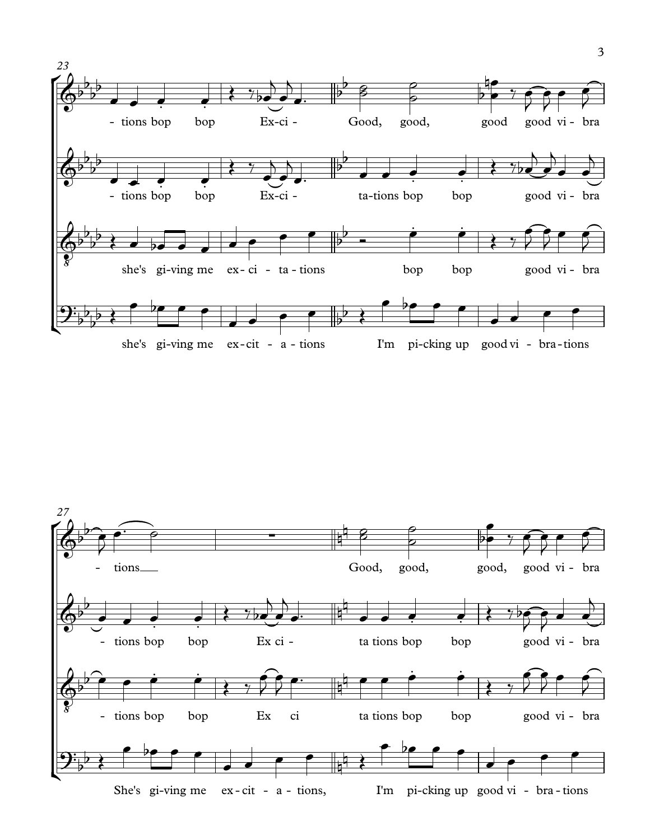

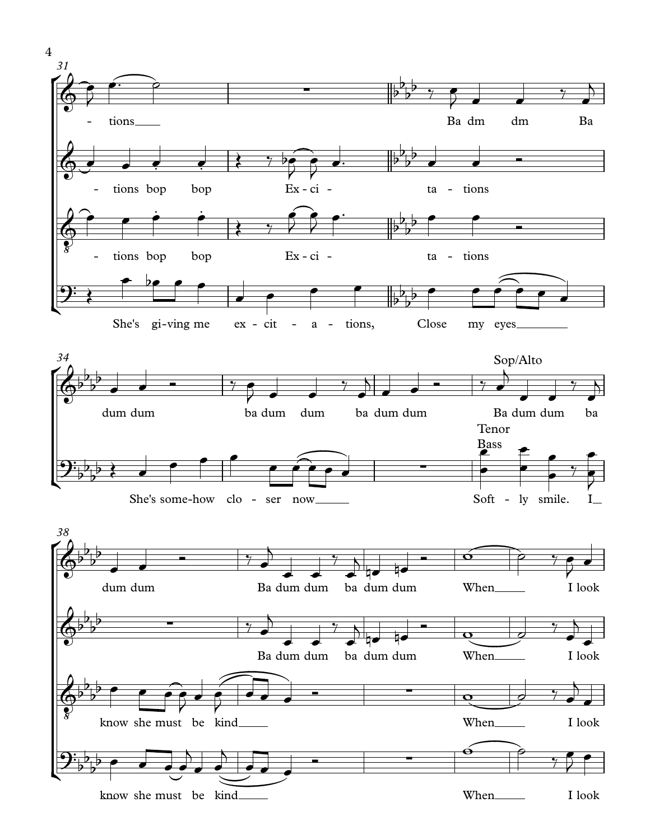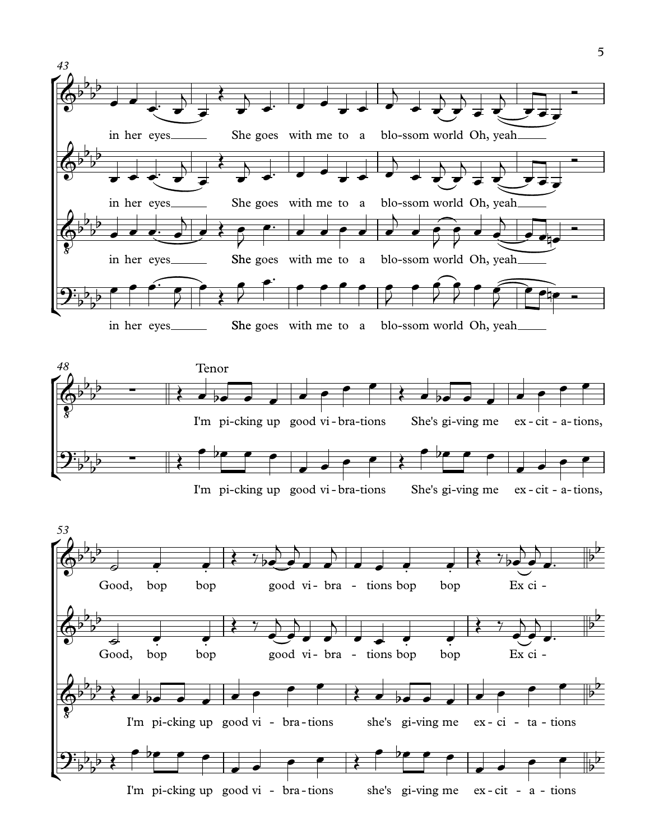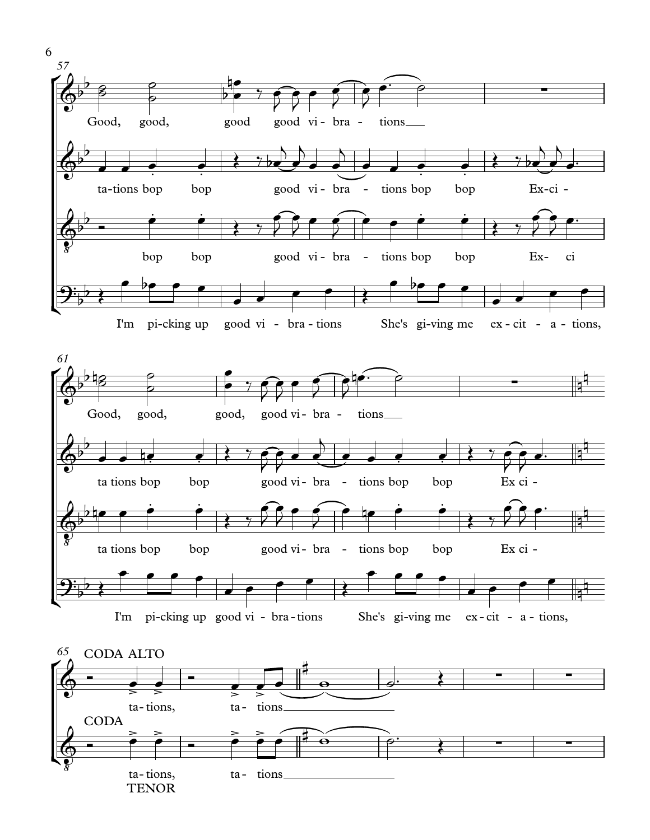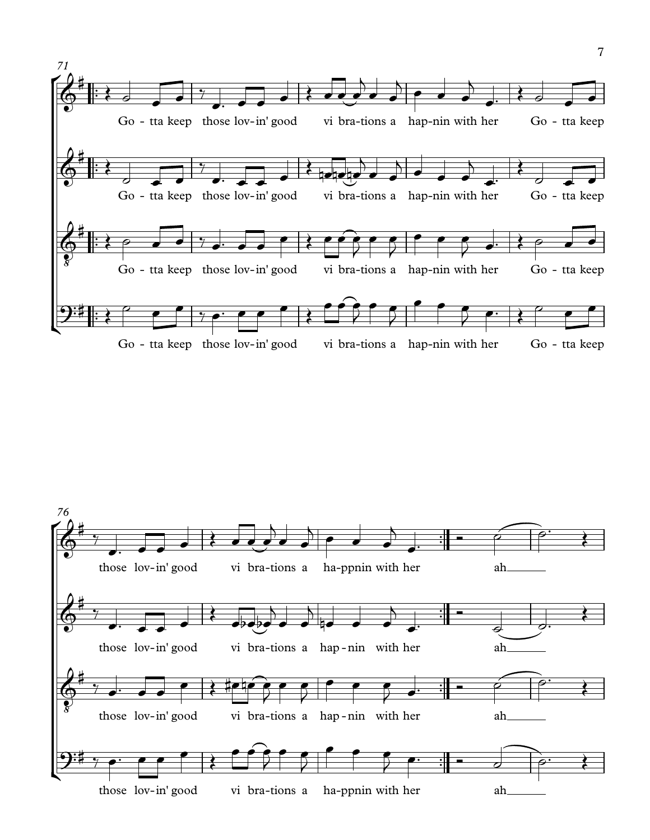

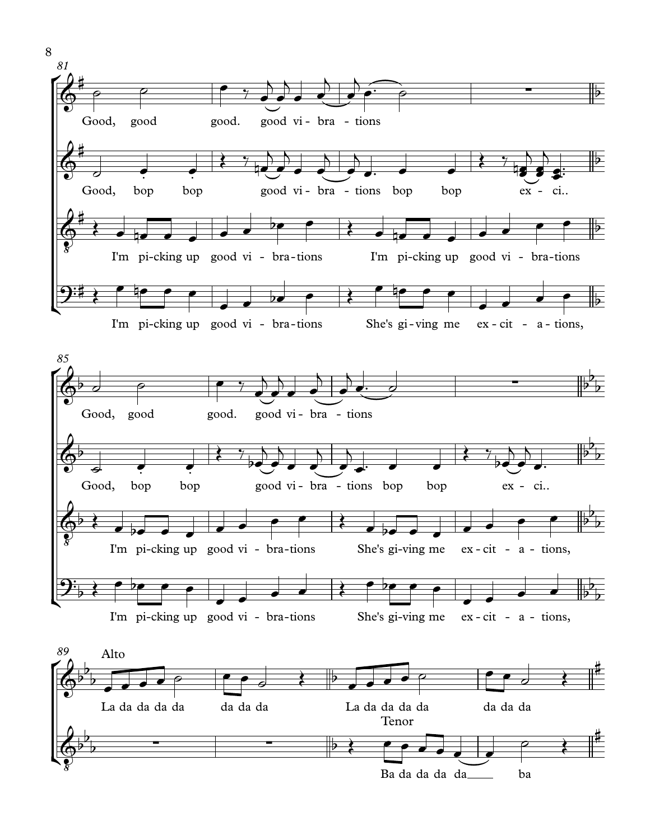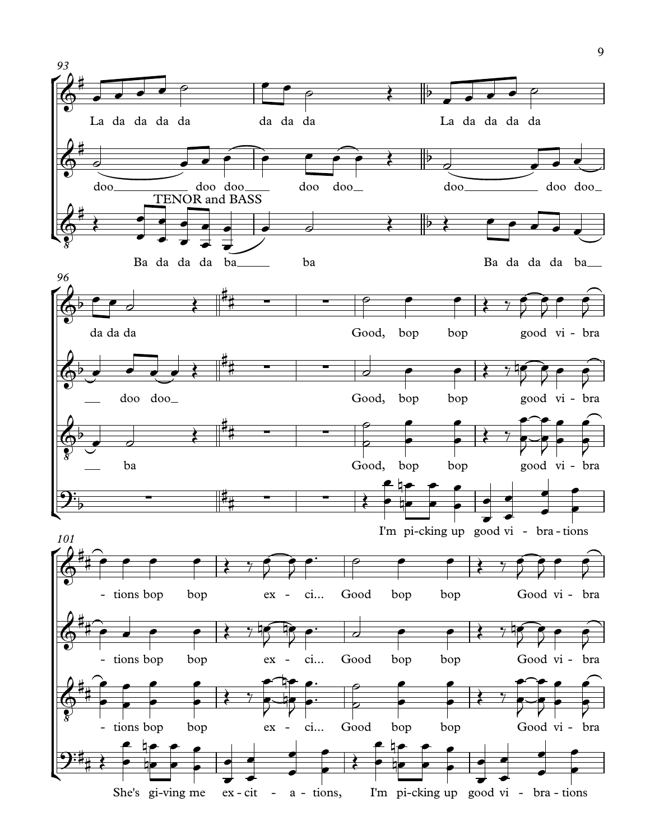